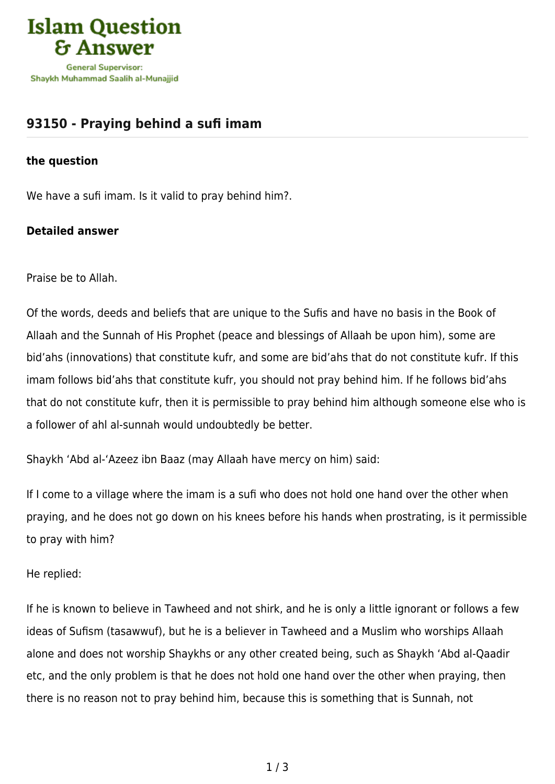

## **[93150 - Praying behind a sufi imam](https://islamqa.com/en/answers/93150/praying-behind-a-sufi-imam)**

## **the question**

We have a sufi imam. Is it valid to pray behind him?.

## **Detailed answer**

Praise be to Allah.

Of the words, deeds and beliefs that are unique to the Sufis and have no basis in the Book of Allaah and the Sunnah of His Prophet (peace and blessings of Allaah be upon him), some are bid'ahs (innovations) that constitute kufr, and some are bid'ahs that do not constitute kufr. If this imam follows bid'ahs that constitute kufr, you should not pray behind him. If he follows bid'ahs that do not constitute kufr, then it is permissible to pray behind him although someone else who is a follower of ahl al-sunnah would undoubtedly be better.

Shaykh 'Abd al-'Azeez ibn Baaz (may Allaah have mercy on him) said:

If I come to a village where the imam is a sufi who does not hold one hand over the other when praying, and he does not go down on his knees before his hands when prostrating, is it permissible to pray with him?

He replied:

If he is known to believe in Tawheed and not shirk, and he is only a little ignorant or follows a few ideas of Sufism (tasawwuf), but he is a believer in Tawheed and a Muslim who worships Allaah alone and does not worship Shaykhs or any other created being, such as Shaykh 'Abd al-Qaadir etc, and the only problem is that he does not hold one hand over the other when praying, then there is no reason not to pray behind him, because this is something that is Sunnah, not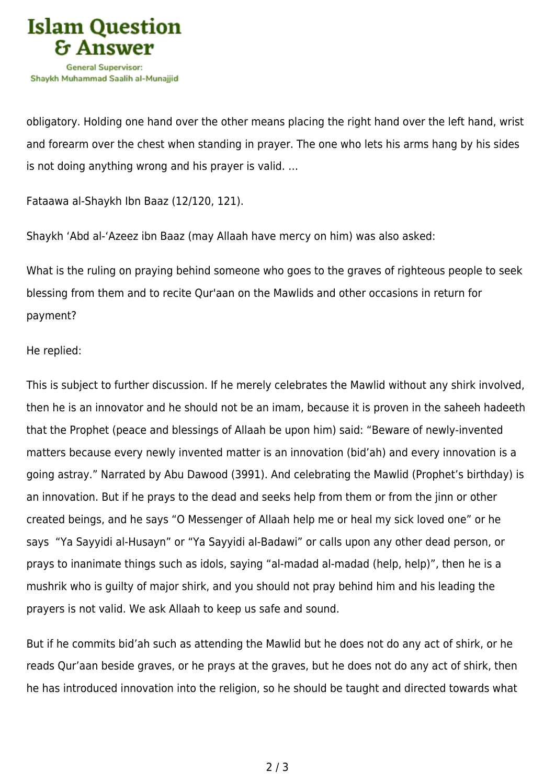

obligatory. Holding one hand over the other means placing the right hand over the left hand, wrist and forearm over the chest when standing in prayer. The one who lets his arms hang by his sides is not doing anything wrong and his prayer is valid. …

Fataawa al-Shaykh Ibn Baaz (12/120, 121).

Shaykh 'Abd al-'Azeez ibn Baaz (may Allaah have mercy on him) was also asked:

What is the ruling on praying behind someone who goes to the graves of righteous people to seek blessing from them and to recite Qur'aan on the Mawlids and other occasions in return for payment?

He replied:

This is subject to further discussion. If he merely celebrates the Mawlid without any shirk involved, then he is an innovator and he should not be an imam, because it is proven in the saheeh hadeeth that the Prophet (peace and blessings of Allaah be upon him) said: "Beware of newly-invented matters because every newly invented matter is an innovation (bid'ah) and every innovation is a going astray." Narrated by Abu Dawood (3991). And celebrating the Mawlid (Prophet's birthday) is an innovation. But if he prays to the dead and seeks help from them or from the jinn or other created beings, and he says "O Messenger of Allaah help me or heal my sick loved one" or he says "Ya Sayyidi al-Husayn" or "Ya Sayyidi al-Badawi" or calls upon any other dead person, or prays to inanimate things such as idols, saying "al-madad al-madad (help, help)", then he is a mushrik who is guilty of major shirk, and you should not pray behind him and his leading the prayers is not valid. We ask Allaah to keep us safe and sound.

But if he commits bid'ah such as attending the Mawlid but he does not do any act of shirk, or he reads Qur'aan beside graves, or he prays at the graves, but he does not do any act of shirk, then he has introduced innovation into the religion, so he should be taught and directed towards what